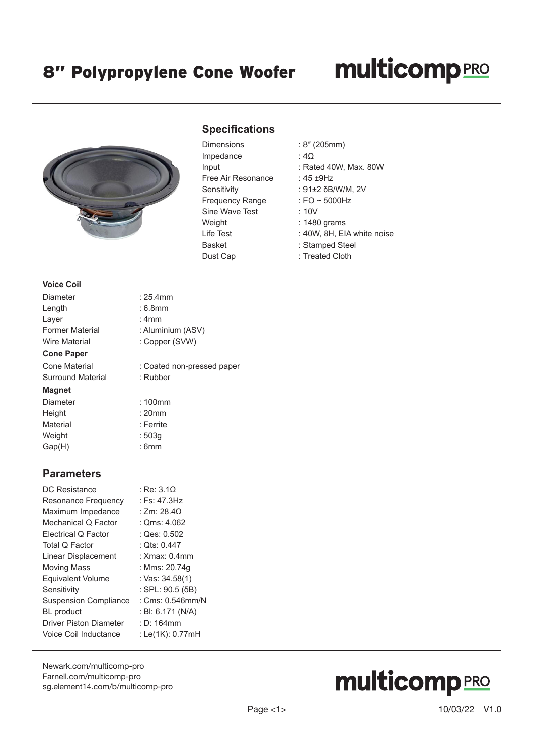### 8" Polypropylene Cone Woofer

### **multicomp**PRO



#### **Specifications**

| Lumensions             |
|------------------------|
| Impedance              |
| Input                  |
| Free Air Resonance     |
| Sensitivity            |
| <b>Frequency Range</b> |
| Sine Wave Test         |
| Weight                 |
| I ife Test             |
| Basket                 |
| Dust Cap               |

- Dimensions : 8″ (205mm)
	- $: 4\Omega$
	- : Rated 40W, Max. 80W
	- :  $45 + 9$ Hz
	- : 91±2 δB/W/M, 2V
	- : FO  $\sim$  5000Hz
	- $: 10V$
	- $: 1480$  grams
	- : 40W, 8H, EIA white noise
	- : Stamped Steel
	- : Treated Cloth

#### **Voice Coil**

| Diameter                 | $: 25.4$ mm                |  |
|--------------------------|----------------------------|--|
| Length                   | :6.8mm                     |  |
| Layer                    | : 4mm                      |  |
| <b>Former Material</b>   | : Aluminium (ASV)          |  |
| <b>Wire Material</b>     | : Copper (SVW)             |  |
| <b>Cone Paper</b>        |                            |  |
| Cone Material            | : Coated non-pressed paper |  |
| <b>Surround Material</b> | : Rubber                   |  |
| <b>Magnet</b>            |                            |  |
| Diameter                 | $:100$ mm                  |  |
| Height                   | $: 20$ mm                  |  |
| Material                 | : Ferrite                  |  |
| Weight                   | : 503q                     |  |

Gap(H) : 6mm

#### **Parameters**

| DC Resistance                 | : Re: 3.10         |
|-------------------------------|--------------------|
| Resonance Frequency           | : Fs: $47.3Hz$     |
| Maximum Impedance             | : Zm: $28.4\Omega$ |
| Mechanical Q Factor           | : $Qms: 4.062$     |
| Electrical Q Factor           | : Qes: 0.502       |
| Total Q Factor                | : Ots: 0.447       |
| Linear Displacement           | : $Xmax: 0.4mm$    |
| <b>Moving Mass</b>            | : Mms: 20.74q      |
| <b>Equivalent Volume</b>      | : Vas: 34.58(1)    |
| Sensitivity                   | : SPL: 90.5 (δB)   |
| <b>Suspension Compliance</b>  | : $Cms: 0.546mm/N$ |
| <b>BL</b> product             | : BI: 6.171 (N/A)  |
| <b>Driver Piston Diameter</b> | $: D: 164$ mm      |
| Voice Coil Inductance         | : Le(1K): 0.77mH   |
|                               |                    |

[Newark.com/multicomp-](https://www.newark.com/multicomp-pro)pro [Farnell.com/multicomp](https://www.farnell.com/multicomp-pro)-pro [sg.element14.com/b/multicomp-pro](https://sg.element14.com/b/multicomp-pro)

# **multicomp**PRO